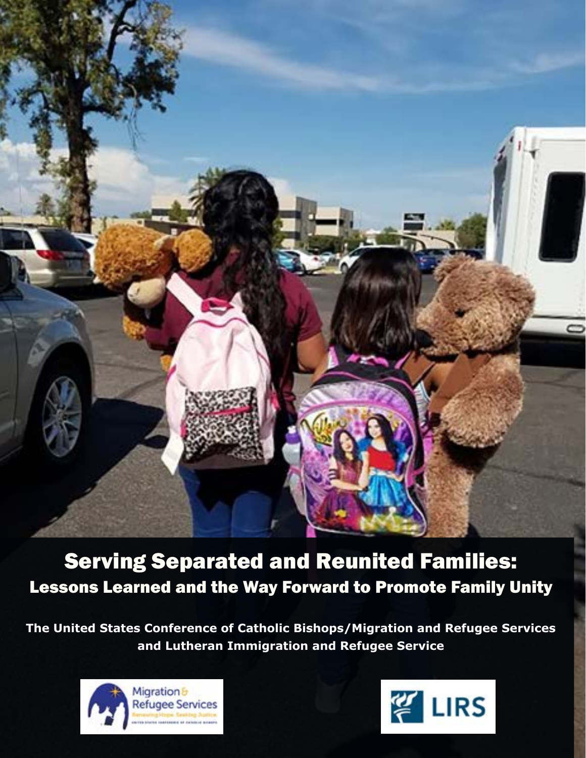

Serving Separated and Reunited Families: Lessons Learned and the Way Forward to Promote Family Unity

**The United States Conference of Catholic Bishops/Migration and Refugee Services and Lutheran Immigration and Refugee Service**



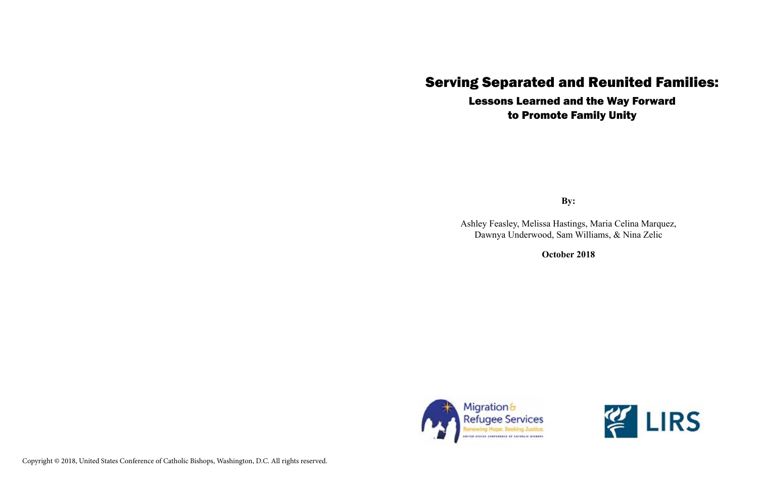# Serving Separated and Reunited Families: Lessons Learned and the Way Forward to Promote Family Unity

**By:**

Ashley Feasley, Melissa Hastings, Maria Celina Marquez, Dawnya Underwood, Sam Williams, & Nina Zelic



**October 2018**



Copyright © 2018, United States Conference of Catholic Bishops, Washington, D.C. All rights reserved.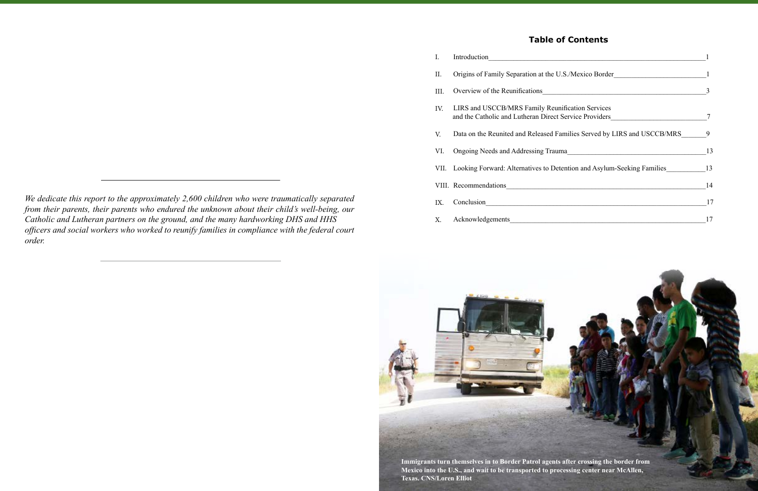## **Table of Contents**

| I.   | Introduction                                                                                               |    |
|------|------------------------------------------------------------------------------------------------------------|----|
| II.  | Origins of Family Separation at the U.S./Mexico Border                                                     |    |
| III. | Overview of the Reunifications<br><u> 1986 - Johann Stein, Amerikaansk politiker (</u>                     | 3  |
| IV.  | LIRS and USCCB/MRS Family Reunification Services<br>and the Catholic and Lutheran Direct Service Providers |    |
| V.   | Data on the Reunited and Released Families Served by LIRS and USCCB/MRS                                    | 9  |
| VI.  | Ongoing Needs and Addressing Trauma                                                                        | 13 |
|      | VII. Looking Forward: Alternatives to Detention and Asylum-Seeking Families                                | 13 |
|      | VIII. Recommendations                                                                                      | 14 |
| IX.  | Conclusion                                                                                                 | 17 |
| X.   | Acknowledgements                                                                                           | 17 |



*We dedicate this report to the approximately 2,600 children who were traumatically separated from their parents, their parents who endured the unknown about their child's well-being, our Catholic and Lutheran partners on the ground, and the many hardworking DHS and HHS officers and social workers who worked to reunify families in compliance with the federal court order.*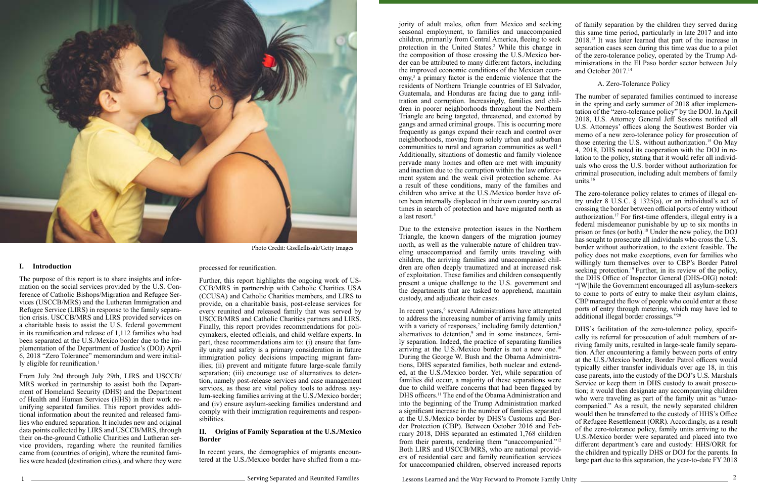The purpose of this report is to share insights and information on the social services provided by the U.S. Conference of Catholic Bishops/Migration and Refugee Services (USCCB/MRS) and the Lutheran Immigration and Refugee Service (LIRS) in response to the family separation crisis. USCCB/MRS and LIRS provided services on a charitable basis to assist the U.S. federal government in its reunification and release of 1,112 families who had been separated at the U.S./Mexico border due to the implementation of the Department of Justice's (DOJ) April 6, 2018 "Zero Tolerance" memorandum and were initially eligible for reunification.<sup>1</sup>



#### **I. Introduction**

From July 2nd through July 29th, LIRS and USCCB/ MRS worked in partnership to assist both the Department of Homeland Security (DHS) and the Department of Health and Human Services (HHS) in their work reunifying separated families. This report provides additional information about the reunited and released families who endured separation. It includes new and original data points collected by LIRS and USCCB/MRS, through their on-the-ground Catholic Charities and Lutheran service providers, regarding where the reunited families came from (countries of origin), where the reunited families were headed (destination cities), and where they were processed for reunification.

Further, this report highlights the ongoing work of US-CCB/MRS in partnership with Catholic Charities USA (CCUSA) and Catholic Charities members, and LIRS to provide, on a charitable basis, post-release services for every reunited and released family that was served by USCCB/MRS and Catholic Charities partners and LIRS. Finally, this report provides recommendations for policymakers, elected officials, and child welfare experts. In part, these recommendations aim to: (i) ensure that family unity and safety is a primary consideration in future immigration policy decisions impacting migrant families; (ii) prevent and mitigate future large-scale family separation; (iii) encourage use of alternatives to detention, namely post-release services and case management services, as these are vital policy tools to address asylum-seeking families arriving at the U.S./Mexico border; and (iv) ensure asylum-seeking families understand and comply with their immigration requirements and responsibilities.

#### **II. Origins of Family Separation at the U.S./Mexico Border**

In recent years, the demographics of migrants encountered at the U.S./Mexico border have shifted from a ma-

– Serving Separated and Reunited Families

Photo Credit: Giselleflissak/Getty Images

jority of adult males, often from Mexico and seeking seasonal employment, to families and unaccompanied children, primarily from Central America, fleeing to seek protection in the United States.<sup>2</sup> While this change in the composition of those crossing the U.S./Mexico border can be attributed to many different factors, including the improved economic conditions of the Mexican economy,<sup>3</sup> a primary factor is the endemic violence that the residents of Northern Triangle countries of El Salvador, Guatemala, and Honduras are facing due to gang infiltration and corruption. Increasingly, families and children in poorer neighborhoods throughout the Northern Triangle are being targeted, threatened, and extorted by gangs and armed criminal groups. This is occurring more frequently as gangs expand their reach and control over neighborhoods, moving from solely urban and suburban communities to rural and agrarian communities as well.<sup>4</sup> Additionally, situations of domestic and family violence pervade many homes and often are met with impunity and inaction due to the corruption within the law enforcement system and the weak civil protection scheme. As a result of these conditions, many of the families and

children who arrive at the U.S./Mexico border have often been internally displaced in their own country several times in search of protection and have migrated north as a last resort.<sup>5</sup> Due to the extensive protection issues in the Northern Triangle, the known dangers of the migration journey north, as well as the vulnerable nature of children traveling unaccompanied and family units traveling with children, the arriving families and unaccompanied children are often deeply traumatized and at increased risk of exploitation. These families and children consequently present a unique challenge to the U.S. government and the departments that are tasked to apprehend, maintain custody, and adjudicate their cases. In recent years,<sup>6</sup> several Administrations have attempted The zero-tolerance policy relates to crimes of illegal entry under 8 U.S.C. § 1325(a), or an individual's act of crossing the border between official ports of entry without authorization.17 For first-time offenders, illegal entry is a federal misdemeanor punishable by up to six months in prison or fines (or both).18 Under the new policy, the DOJ has sought to prosecute all individuals who cross the U.S. border without authorization, to the extent feasible. The policy does not make exceptions, even for families who willingly turn themselves over to CBP's Border Patrol seeking protection.<sup>19</sup> Further, in its review of the policy, the DHS Office of Inspector General (DHS-OIG) noted: "[W]hile the Government encouraged all asylum-seekers to come to ports of entry to make their asylum claims, CBP managed the flow of people who could enter at those ports of entry through metering, which may have led to additional illegal border crossings."20

of family separation by the children they served during this same time period, particularly in late 2017 and into 2018.13 It was later learned that part of the increase in separation cases seen during this time was due to a pilot of the zero-tolerance policy, operated by the Trump Administrations in the El Paso border sector between July and October 2017.<sup>14</sup>

#### A. Zero-Tolerance Policy

The number of separated families continued to increase in the spring and early summer of 2018 after implementation of the "zero-tolerance policy" by the DOJ. In April 2018, U.S. Attorney General Jeff Sessions notified all U.S. Attorneys' offices along the Southwest Border via memo of a new zero-tolerance policy for prosecution of those entering the U.S. without authorization.15 On May 4, 2018, DHS noted its cooperation with the DOJ in relation to the policy, stating that it would refer all individuals who cross the U.S. border without authorization for criminal prosecution, including adult members of family units.16

to address the increasing number of arriving family units with a variety of responses,<sup>7</sup> including family detention,<sup>8</sup> alternatives to detention,<sup>9</sup> and in some instances, family separation. Indeed, the practice of separating families arriving at the U.S./Mexico border is not a new one.<sup>10</sup> During the George W. Bush and the Obama Administrations, DHS separated families, both nuclear and extended, at the U.S./Mexico border. Yet, while separation of families did occur, a majority of these separations were due to child welfare concerns that had been flagged by DHS officers.<sup>11</sup> The end of the Obama Administration and into the beginning of the Trump Administration marked a significant increase in the number of families separated at the U.S./Mexico border by DHS's Customs and Border Protection (CBP). Between October 2016 and February 2018, DHS separated an estimated 1,768 children from their parents, rendering them "unaccompanied."<sup>12</sup> Both LIRS and USCCB/MRS, who are national providers of residential care and family reunification services for unaccompanied children, observed increased reports DHS's facilitation of the zero-tolerance policy, specifically its referral for prosecution of adult members of arriving family units, resulted in large-scale family separation. After encountering a family between ports of entry at the U.S./Mexico border, Border Patrol officers would typically either transfer individuals over age 18, in this case parents, into the custody of the DOJ's U.S. Marshals Service or keep them in DHS custody to await prosecution; it would then designate any accompanying children who were traveling as part of the family unit as "unaccompanied." As a result, the newly separated children would then be transferred to the custody of HHS's Office of Refugee Resettlement (ORR). Accordingly, as a result of the zero-tolerance policy, family units arriving to the U.S./Mexico border were separated and placed into two different department's care and custody: HHS/ORR for the children and typically DHS or DOJ for the parents. In large part due to this separation, the year-to-date FY 2018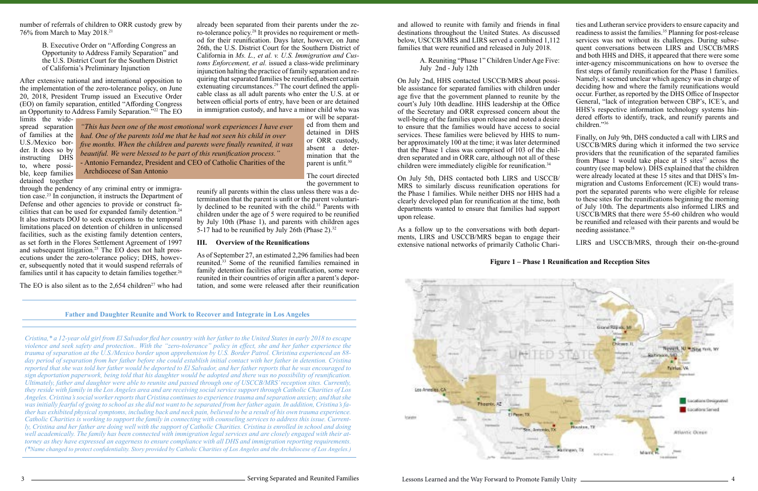number of referrals of children to ORR custody grew by 76% from March to May 2018.21

> B. Executive Order on "Affording Congress an Opportunity to Address Family Separation" and the U.S. District Court for the Southern District of California's Preliminary Injunction

tion case.<sup>23</sup> In conjunction, it instructs the Department of Defense and other agencies to provide or construct facilities that can be used for expanded family detention.<sup>24</sup> It also instructs DOJ to seek exceptions to the temporal limitations placed on detention of children in unlicensed facilities, such as the existing family detention centers, as set forth in the Flores Settlement Agreement of 1997 and subsequent litigation.<sup>25</sup> The EO does not halt prosecutions under the zero-tolerance policy; DHS, however, subsequently noted that it would suspend referrals of families until it has capacity to detain families together.<sup>26</sup>

The EO is also silent as to the  $2,654$  children<sup>27</sup> who had

After extensive national and international opposition to the implementation of the zero-tolerance policy, on June 20, 2018, President Trump issued an Executive Order (EO) on family separation, entitled "Affording Congress an Opportunity to Address Family Separation."22 The EO

limits the widespread separation of families at the U.S./Mexico border. It does so by instructing DHS to, where possible, keep families detained together through the pendency of any criminal entry or immigrabetween official ports of entry, have been or are detained in immigration custody, and have a minor child who was or will be separated from them and detained in DHS or ORR custody, absent a determination that the parent is unfit.<sup>30</sup>

reunify all parents within the class unless there was a determination that the parent is unfit or the parent voluntarily declined to be reunited with the child.<sup>31</sup> Parents with children under the age of 5 were required to be reunified by July 10th (Phase 1), and parents with children ages 5-17 had to be reunified by July 26th (Phase 2).<sup>32</sup>

already been separated from their parents under the zero-tolerance policy.28 It provides no requirement or method for their reunification. Days later, however, on June 26th, the U.S. District Court for the Southern District of California in *Ms. L., et al. v. U.S. Immigration and Customs Enforcement, et al.* issued a class-wide preliminary injunction halting the practice of family separation and requiring that separated families be reunified, absent certain extenuating circumstances.<sup>29</sup> The court defined the applicable class as all adult parents who enter the U.S. at or

> The court directed the government to

#### **III. Overview of the Reunifications**

and allowed to reunite with family and friends in final destinations throughout the United States. As discussed below, USCCB/MRS and LIRS served a combined 1,112 families that were reunified and released in July 2018. On July 2nd, HHS contacted USCCB/MRS about possible assistance for separated families with children under age five that the government planned to reunite by the court's July 10th deadline. HHS leadership at the Office of the Secretary and ORR expressed concern about the well-being of the families upon release and noted a desire to ensure that the families would have access to social services. These families were believed by HHS to num-Finally, on July 9th, DHS conducted a call with LIRS and USCCB/MRS during which it informed the two service providers that the reunification of the separated families from Phase 1 would take place at  $15$  sites<sup>37</sup> across the

As of September 27, an estimated 2,296 families had been reunited.33 Some of the reunified families remained in family detention facilities after reunification, some were reunited in their countries of origin after a parent's deportation, and some were released after their reunification

**Father and Daughter Reunite and Work to Recover and Integrate in Los Angeles**

*Cristina,\* a 12-year old girl from El Salvador fled her country with her father to the United States in early 2018 to escape violence and seek safety and protection.. With the "zero-tolerance" policy in effect, she and her father experience the trauma of separation at the U.S./Mexico border upon apprehension by U.S. Border Patrol. Christina experienced an 88 day period of separation from her father before she could establish initial contact with her father in detention. Cristina reported that she was told her father would be deported to El Salvador, and her father reports that he was encouraged to sign deportation paperwork, being told that his daughter would be adopted and there was no possibility of reunification. Ultimately, father and daughter were able to reunite and passed through one of USCCB/MRS' reception sites. Currently, they reside with family in the Los Angeles area and are receiving social service support through Catholic Charities of Los Angeles. Cristina's social worker reports that Cristina continues to experience trauma and separation anxiety, and that she was initially fearful of going to school as she did not want to be separated from her father again. In addition, Cristina's father has exhibited physical symptoms, including back and neck pain, believed to be a result of his own trauma experience. Catholic Charities is working to support the family in connecting with counseling services to address this issue. Currently, Cristina and her father are doing well with the support of Catholic Charities. Cristina is enrolled in school and doing well academically. The family has been connected with immigration legal services and are closely engaged with their attorney as they have expressed an eagerness to ensure compliance with all DHS and immigration reporting requirements. (\*Name changed to protect confidentiality. Story provided by Catholic Charities of Los Angeles and the Archdiocese of Los Angeles.)*

*"This has been one of the most emotional work experiences I have ever had. One of the parents told me that he had not seen his child in over five months. When the children and parents were finally reunited, it was beautiful. We were blessed to be part of this reunification process."*  - Antonio Fernandez, President and CEO of Catholic Charities of the Archdiocese of San Antonio

### **Figure 1 – Phase 1 Reunification and Reception Sites**



A. Reuniting "Phase 1" Children Under Age Five: July 2nd - July 12th ties and Lutheran service providers to ensure capacity and readiness to assist the families.<sup>35</sup> Planning for post-release services was not without its challenges. During subsequent conversations between LIRS and USCCB/MRS and both HHS and DHS, it appeared that there were some inter-agency miscommunications on how to oversee the first steps of family reunification for the Phase 1 families. Namely, it seemed unclear which agency was in charge of deciding how and where the family reunifications would occur. Further, as reported by the DHS Office of Inspector General, "lack of integration between CBP's, ICE's, and HHS's respective information technology systems hindered efforts to identify, track, and reunify parents and children."36

ments, LIRS and USCCB/MRS began to engage their extensive national networks of primarily Catholic Chari-

ber approximately 100 at the time; it was later determined that the Phase 1 class was comprised of 103 of the children separated and in ORR care, although not all of these children were immediately eligible for reunification.<sup>34</sup> On July 5th, DHS contacted both LIRS and USCCB/ MRS to similarly discuss reunification operations for the Phase 1 families. While neither DHS nor HHS had a clearly developed plan for reunification at the time, both departments wanted to ensure that families had support upon release. As a follow up to the conversations with both departcountry (see map below). DHS explained that the children were already located at these 15 sites and that DHS's Immigration and Customs Enforcement (ICE) would transport the separated parents who were eligible for release to these sites for the reunifications beginning the morning of July 10th. The departments also informed LIRS and USCCB/MRS that there were 55-60 children who would be reunified and released with their parents and would be needing assistance.<sup>38</sup>

LIRS and USCCB/MRS, through their on-the-ground

Gistanal Rutzinski **Tairban, VA** lacations Designated **Constitute Served** Atlantic Ocean

4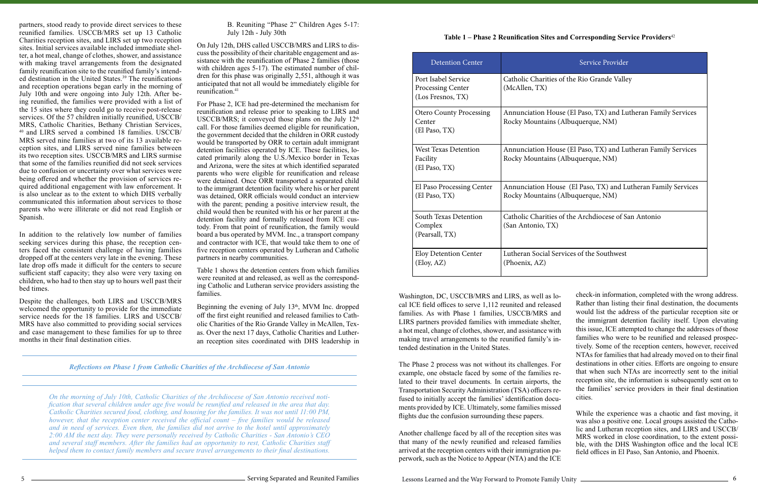partners, stood ready to provide direct services to these reunified families. USCCB/MRS set up 13 Catholic Charities reception sites, and LIRS set up two reception sites. Initial services available included immediate shelter, a hot meal, change of clothes, shower, and assistance with making travel arrangements from the designated family reunification site to the reunified family's intended destination in the United States.<sup>39</sup> The reunifications and reception operations began early in the morning of July 10th and were ongoing into July 12th. After being reunified, the families were provided with a list of the 15 sites where they could go to receive post-release services. Of the 57 children initially reunified, USCCB/ MRS, Catholic Charities, Bethany Christian Services, 40 and LIRS served a combined 18 families. USCCB/ MRS served nine families at two of its 13 available reception sites, and LIRS served nine families between its two reception sites. USCCB/MRS and LIRS surmise that some of the families reunified did not seek services due to confusion or uncertainty over what services were being offered and whether the provision of services required additional engagement with law enforcement. It is also unclear as to the extent to which DHS verbally communicated this information about services to those parents who were illiterate or did not read English or Spanish.

On July 12th, DHS called USCCB/MRS and LIRS to discuss the possibility of their charitable engagement and assistance with the reunification of Phase 2 families (those with children ages 5-17). The estimated number of children for this phase was originally 2,551, although it was anticipated that not all would be immediately eligible for reunification.<sup>41</sup>

For Phase 2, ICE had pre-determined the mechanism for reunification and release prior to speaking to LIRS and USCCB/MRS; it conveyed those plans on the July 12<sup>th</sup> call. For those families deemed eligible for reunification, the government decided that the children in ORR custody would be transported by ORR to certain adult immigrant detention facilities operated by ICE. These facilities, located primarily along the U.S./Mexico border in Texas and Arizona, were the sites at which identified separated parents who were eligible for reunification and release were detained. Once ORR transported a separated child to the immigrant detention facility where his or her parent was detained, ORR officials would conduct an interview with the parent; pending a positive interview result, the child would then be reunited with his or her parent at the detention facility and formally released from ICE custody. From that point of reunification, the family would board a bus operated by MVM. Inc., a transport company and contractor with ICE, that would take them to one of five reception centers operated by Lutheran and Catholic partners in nearby communities.

In addition to the relatively low number of families seeking services during this phase, the reception centers faced the consistent challenge of having families dropped off at the centers very late in the evening. These late drop offs made it difficult for the centers to secure sufficient staff capacity; they also were very taxing on children, who had to then stay up to hours well past their bed times.

Despite the challenges, both LIRS and USCCB/MRS welcomed the opportunity to provide for the immediate service needs for the 18 families. LIRS and USCCB/ MRS have also committed to providing social services and case management to these families for up to three months in their final destination cities.

Beginning the evening of July  $13<sup>th</sup>$ , MVM Inc. dropped off the first eight reunified and released families to Catholic Charities of the Rio Grande Valley in McAllen, Texas. Over the next 17 days, Catholic Charities and Lutheran reception sites coordinated with DHS leadership in

B. Reuniting "Phase 2" Children Ages 5-17: July 12th - July 30th

Table 1 shows the detention centers from which families were reunited at and released, as well as the corresponding Catholic and Lutheran service providers assisting the families.

flights due the confusion surrounding these papers. While the experience was a chaotic and fast moving, it

*Reflections on Phase 1 from Catholic Charities of the Archdiocese of San Antonio*

*On the morning of July 10th, Catholic Charities of the Archdiocese of San Antonio received notification that several children under age five would be reunified and released in the area that day. Catholic Charities secured food, clothing, and housing for the families. It was not until 11:00 PM, however, that the reception center received the official count – five families would be released and in need of services. Even then, the families did not arrive to the hotel until approximately 2:00 AM the next day. They were personally received by Catholic Charities - San Antonio's CEO and several staff members. After the families had an opportunity to rest, Catholic Charities staff helped them to contact family members and secure travel arrangements to their final destinations.* 

| <b>Detention Center</b>                                       | Service Provider                                                                                   |
|---------------------------------------------------------------|----------------------------------------------------------------------------------------------------|
| Port Isabel Service<br>Processing Center<br>(Los Fresnos, TX) | Catholic Charities of the Rio Grande Valley<br>(McAllen, TX)                                       |
| <b>Otero County Processing</b><br>Center<br>(El Paso, TX)     | Annunciation House (El Paso, TX) and Lutheran Family Services<br>Rocky Mountains (Albuquerque, NM) |
| <b>West Texas Detention</b><br>Facility<br>(El Paso, TX)      | Annunciation House (El Paso, TX) and Lutheran Family Services<br>Rocky Mountains (Albuquerque, NM) |
| El Paso Processing Center<br>(El Paso, TX)                    | Annunciation House (El Paso, TX) and Lutheran Family Services<br>Rocky Mountains (Albuquerque, NM) |
| South Texas Detention<br>Complex<br>(Pearsall, TX)            | Catholic Charities of the Archdiocese of San Antonio<br>(San Antonio, TX)                          |
| <b>Eloy Detention Center</b><br>(Eloy, AZ)                    | Lutheran Social Services of the Southwest<br>(Phoenix, AZ)                                         |

Washington, DC, USCCB/MRS and LIRS, as well as local ICE field offices to serve 1,112 reunited and released families. As with Phase 1 families, USCCB/MRS and LIRS partners provided families with immediate shelter, a hot meal, change of clothes, shower, and assistance with making travel arrangements to the reunified family's intended destination in the United States. The Phase 2 process was not without its challenges. For example, one obstacle faced by some of the families related to their travel documents. In certain airports, the Transportation Security Administration (TSA) officers refused to initially accept the families' identification documents provided by ICE. Ultimately, some families missed check-in information, completed with the wrong address. Rather than listing their final destination, the documents would list the address of the particular reception site or the immigrant detention facility itself. Upon elevating this issue, ICE attempted to change the addresses of those families who were to be reunified and released prospectively. Some of the reception centers, however, received NTAs for families that had already moved on to their final destinations in other cities. Efforts are ongoing to ensure that when such NTAs are incorrectly sent to the initial reception site, the information is subsequently sent on to the families' service providers in their final destination cities.

Another challenge faced by all of the reception sites was that many of the newly reunified and released families arrived at the reception centers with their immigration paperwork, such as the Notice to Appear (NTA) and the ICE was also a positive one. Local groups assisted the Catholic and Lutheran reception sites, and LIRS and USCCB/ MRS worked in close coordination, to the extent possible, with the DHS Washington office and the local ICE field offices in El Paso, San Antonio, and Phoenix.

### **Table 1 – Phase 2 Reunification Sites and Corresponding Service Providers**<sup>42</sup>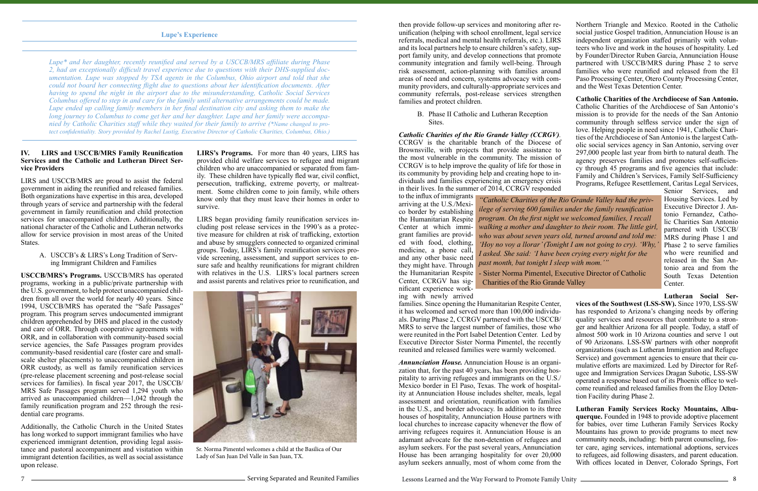#### **IV. LIRS and USCCB/MRS Family Reunification Services and the Catholic and Lutheran Direct Service Providers**

LIRS and USCCB/MRS are proud to assist the federal government in aiding the reunified and released families. Both organizations have expertise in this area, developed through years of service and partnership with the federal government in family reunification and child protection services for unaccompanied children. Additionally, the national character of the Catholic and Lutheran networks allow for service provision in most areas of the United States.

#### A. USCCB's & LIRS's Long Tradition of Serving Immigrant Children and Families

**USCCB/MRS's Programs.** USCCB/MRS has operated programs, working in a public/private partnership with the U.S. government, to help protect unaccompanied children from all over the world for nearly 40 years. Since 1994, USCCB/MRS has operated the "Safe Passages" program. This program serves undocumented immigrant children apprehended by DHS and placed in the custody and care of ORR. Through cooperative agreements with ORR, and in collaboration with community-based social service agencies, the Safe Passages program provides community-based residential care (foster care and smallscale shelter placements) to unaccompanied children in ORR custody, as well as family reunification services (pre-release placement screening and post-release social services for families). In fiscal year 2017, the USCCB/ MRS Safe Passages program served 1,294 youth who arrived as unaccompanied children—1,042 through the family reunification program and 252 through the residential care programs.

Additionally, the Catholic Church in the United States has long worked to support immigrant families who have experienced immigrant detention, providing legal assistance and pastoral accompaniment and visitation within immigrant detention facilities, as well as social assistance upon release.

**LIRS's Programs.** For more than 40 years, LIRS has provided child welfare services to refugee and migrant children who are unaccompanied or separated from family. These children have typically fled war, civil conflict, persecution, trafficking, extreme poverty, or maltreatment. Some children come to join family, while others know only that they must leave their homes in order to survive.

LIRS began providing family reunification services including post release services in the 1990's as a protective measure for children at risk of trafficking, extortion and abuse by smugglers connected to organized criminal groups. Today, LIRS's family reunification services provide screening, assessment, and support services to ensure safe and healthy reunifications for migrant children with relatives in the U.S. LIRS's local partners screen and assist parents and relatives prior to reunification, and

#### **Lupe's Experience**

*Lupe\* and her daughter, recently reunified and served by a USCCB/MRS affiliate during Phase 2, had an exceptionally difficult travel experience due to questions with their DHS-supplied documentation. Lupe was stopped by TSA agents in the Columbus, Ohio airport and told that she could not board her connecting flight due to questions about her identification documents. After having to spend the night in the airport due to the misunderstanding, Catholic Social Services Columbus offered to step in and care for the family until alternative arrangements could be made. Lupe ended up calling family members in her final destination city and asking them to make the long journey to Columbus to come get her and her daughter. Lupe and her family were accompanied by Catholic Charities staff while they waited for their family to arrive (\*Name changed to protect confidentiality. Story provided by Rachel Lustig, Executive Director of Catholic Charities, Columbus, Ohio.)* 



Sr. Norma Pimentel welcomes a child at the Basilica of Our Lady of San Juan Del Valle in San Juan, TX.

Sites.

to the influx of immigrants arriving at the U.S./Mexico border by establishing grant families are provided with food, clothing, medicine, a phone call, and any other basic need they might have. Through Center, CCRGV has significant experience working with newly arrived

then provide follow-up services and monitoring after reunification (helping with school enrollment, legal service referrals, medical and mental health referrals, etc.). LIRS and its local partners help to ensure children's safety, support family unity, and develop connections that promote community integration and family well-being. Through risk assessment, action-planning with families around areas of need and concern, systems advocacy with community providers, and culturally-appropriate services and community referrals, post-release services strengthen Northern Triangle and Mexico. Rooted in the Catholic social justice Gospel tradition, Annunciation House is an independent organization staffed primarily with volunteers who live and work in the houses of hospitality. Led by Founder/Director Ruben Garcia, Annunciation House partnered with USCCB/MRS during Phase 2 to serve families who were reunified and released from the El Paso Processing Center, Otero County Processing Center, and the West Texas Detention Center. **Catholic Charities of the Archdiocese of San Antonio.**

families and protect children. B. Phase II Catholic and Lutheran Reception *Catholic Charities of the Rio Grande Valley (CCRGV).* CCRGV is the charitable branch of the Diocese of Brownsville, with projects that provide assistance to the most vulnerable in the community. The mission of CCRGV is to help improve the quality of life for those in its community by providing help and creating hope to individuals and families experiencing an emergency crisis in their lives. In the summer of 2014, CCRGV responded Catholic Charities of the Archdiocese of San Antonio's mission is to provide for the needs of the San Antonio community through selfless service under the sign of love. Helping people in need since 1941, Catholic Charities of the Archdiocese of San Antonio is the largest Catholic social services agency in San Antonio, serving over 297,000 people last year from birth to natural death. The agency preserves families and promotes self-sufficiency through 45 programs and five agencies that include: Family and Children's Services, Family Self-Sufficiency Programs, Refugee Resettlement, Caritas Legal Services,

families. Since opening the Humanitarian Respite Center, it has welcomed and served more than 100,000 individuals. During Phase 2, CCRGV partnered with the USCCB/ MRS to serve the largest number of families, those who were reunited in the Port Isabel Detention Center. Led by Executive Director Sister Norma Pimentel, the recently reunited and released families were warmly welcomed. *Annunciation House.* Annunciation House is an organi-**Lutheran Social Services of the Southwest (LSS-SW).** Since 1970, LSS-SW has responded to Arizona's changing needs by offering quality services and resources that contribute to a stronger and healthier Arizona for all people. Today, a staff of almost 500 work in 10 Arizona counties and serve 1 out of 90 Arizonans. LSS-SW partners with other nonprofit organizations (such as Lutheran Immigration and Refugee Service) and government agencies to ensure that their cumulative efforts are maximized. Led by Director for Refugee and Immigration Services Dragan Subotic, LSS-SW operated a response based out of its Phoenix office to welcome reunified and released families from the Eloy Detention Facility during Phase 2.

the Humanitarian Respite *program. On the first night we welcomed families, I recall*  Center at which immi-*walking a mother and daughter to their room. The little girl,*  the Humanitarian Respite - Sister Norma Pimentel, Executive Director of Catholic *"Catholic Charities of the Rio Grande Valley had the privilege of serving 600 families under the family reunification who was about seven years old, turned around and told me: 'Hoy no voy a llorar' (Tonight I am not going to cry). 'Why, I asked. She said: 'I have been crying every night for the past month, but tonight I sleep with mom.'"* Charities of the Rio Grande Valley

zation that, for the past 40 years, has been providing hospitality to arriving refugees and immigrants on the U.S./ Mexico border in El Paso, Texas. The work of hospitality at Annunciation House includes shelter, meals, legal assessment and orientation, reunification with families in the U.S., and border advocacy. In addition to its three houses of hospitality, Annunciation House partners with local churches to increase capacity whenever the flow of arriving refugees requires it. Annunciation House is an adamant advocate for the non-detention of refugees and asylum seekers. For the past several years, Annunciation House has been arranging hospitality for over 20,000 asylum seekers annually, most of whom come from the **Lutheran Family Services Rocky Mountains, Albuquerque.** Founded in 1948 to provide adoptive placement for babies, over time Lutheran Family Services Rocky Mountains has grown to provide programs to meet new community needs, including: birth parent counseling, foster care, aging services, international adoptions, services to refugees, aid following disasters, and parent education. With offices located in Denver, Colorado Springs, Fort

Senior Services, and Housing Services. Led by Executive Director J. Antonio Fernandez, Catholic Charities San Antonio partnered with USCCB/ MRS during Phase 1 and Phase 2 to serve families who were reunified and released in the San Antonio area and from the South Texas Detention Center.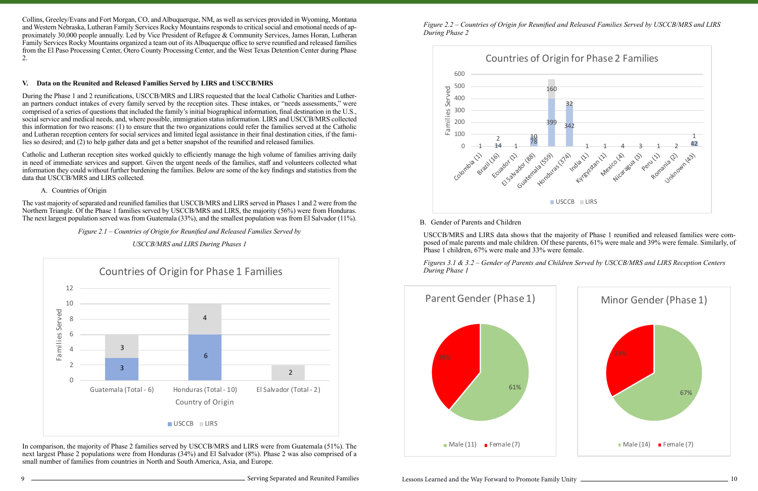Collins, Greeley/Evans and Fort Morgan, CO, and Albuquerque, NM, as well as services provided in Wyoming, Montana and Western Nebraska, Lutheran Family Services Rocky Mountains responds to critical social and emotional needs of approximately 30,000 people annually. Led by Vice President of Refugee & Community Services, James Horan, Lutheran Family Services Rocky Mountains organized a team out of its Albuquerque office to serve reunified and released families from the El Paso Processing Center, Otero County Processing Center, and the West Texas Detention Center during Phase 2.

### **V. Data on the Reunited and Released Families Served by LIRS and USCCB/MRS**

During the Phase 1 and 2 reunifications, USCCB/MRS and LIRS requested that the local Catholic Charities and Lutheran partners conduct intakes of every family served by the reception sites. These intakes, or "needs assessments," were comprised of a series of questions that included the family's initial biographical information, final destination in the U.S., social service and medical needs, and, where possible, immigration status information. LIRS and USCCB/MRS collected this information for two reasons: (1) to ensure that the two organizations could refer the families served at the Catholic and Lutheran reception centers for social services and limited legal assistance in their final destination cities, if the families so desired; and (2) to help gather data and get a better snapshot of the reunified and released families.

### In comparison, the majority of Phase 2 families served by USCCB/MRS and LIRS were from Guatemala (51%). The next largest Phase 2 populations were from Honduras (34%) and El Salvador (8%). Phase 2 was also comprised of a small number of families from countries in North and South America, Asia, and Europe.

Catholic and Lutheran reception sites worked quickly to efficiently manage the high volume of families arriving daily in need of immediate services and support. Given the urgent needs of the families, staff and volunteers collected what information they could without further burdening the families. Below are some of the key findings and statistics from the data that USCCB/MRS and LIRS collected.

#### A. Countries of Origin

The vast majority of separated and reunified families that USCCB/MRS and LIRS served in Phases 1 and 2 were from the Northern Triangle. Of the Phase 1 families served by USCCB/MRS and LIRS, the majority (56%) were from Honduras. The next largest population served was from Guatemala (33%), and the smallest population was from El Salvador (11%).

#### *Figure 2.1 – Countries of Origin for Reunified and Released Families Served by*

*USCCB/MRS and LIRS During Phases 1* 

*Figure 2.2 – Countries of Origin for Reunified and Released Families Served by USCCB/MRS and LIRS During Phase 2*

#### B. Gender of Parents and Children

USCCB/MRS and LIRS data shows that the majority of Phase 1 reunified and released families were composed of male parents and male children. Of these parents, 61% were male and 39% were female. Similarly, of Phase 1 children, 67% were male and 33% were female.

*Figures 3.1 & 3.2 – Gender of Parents and Children Served by USCCB/MRS and LIRS Reception Centers During Phase 1*





<sup>1</sup> Serving Separated and Reunited Families



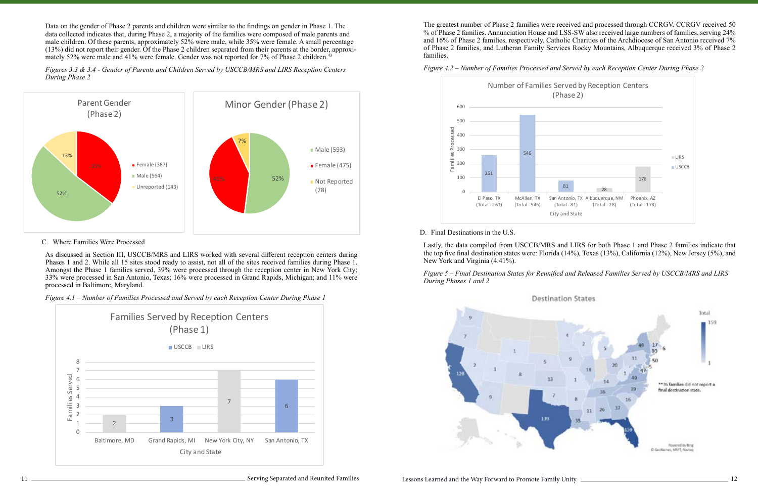Data on the gender of Phase 2 parents and children were similar to the findings on gender in Phase 1. The data collected indicates that, during Phase 2, a majority of the families were composed of male parents and male children. Of these parents, approximately 52% were male, while 35% were female. A small percentage (13%) did not report their gender. Of the Phase 2 children separated from their parents at the border, approximately 52% were male and 41% were female. Gender was not reported for 7% of Phase 2 children.<sup>43</sup>



#### C. Where Families Were Processed

As discussed in Section III, USCCB/MRS and LIRS worked with several different reception centers during Phases 1 and 2. While all 15 sites stood ready to assist, not all of the sites received families during Phase 1. Amongst the Phase 1 families served, 39% were processed through the reception center in New York City; 33% were processed in San Antonio, Texas; 16% were processed in Grand Rapids, Michigan; and 11% were processed in Baltimore, Maryland.

*Figure 4.1 – Number of Families Processed and Served by each Reception Center During Phase 1*

The greatest number of Phase 2 families were received and processed through CCRGV. CCRGV received 50 % of Phase 2 families. Annunciation House and LSS-SW also received large numbers of families, serving 24% and 16% of Phase 2 families, respectively. Catholic Charities of the Archdiocese of San Antonio received 7% of Phase 2 families, and Lutheran Family Services Rocky Mountains, Albuquerque received 3% of Phase 2 families.



*Figure 4.2 – Number of Families Processed and Served by each Reception Center During Phase 2*

#### D. Final Destinations in the U.S.

Lastly, the data compiled from USCCB/MRS and LIRS for both Phase 1 and Phase 2 families indicate that the top five final destination states were: Florida (14%), Texas (13%), California (12%), New Jersey (5%), and New York and Virginia (4.41%).

*Figure 5 – Final Destination States for Reunified and Released Families Served by USCCB/MRS and LIRS During Phases 1 and 2*







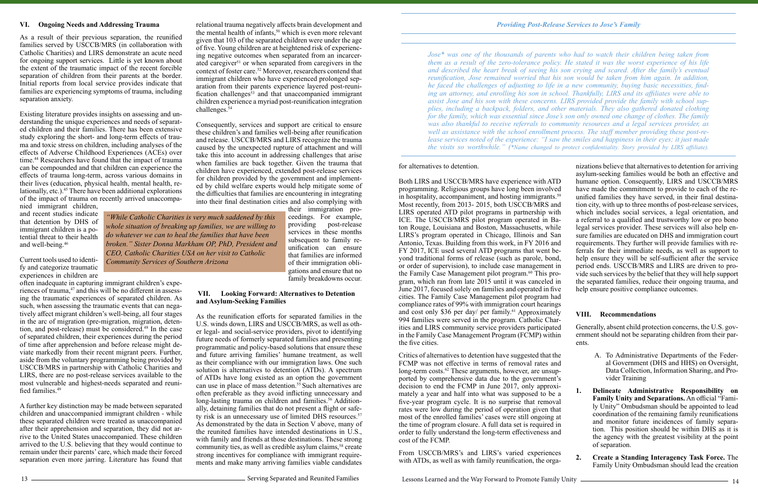#### **VI. Ongoing Needs and Addressing Trauma**

As a result of their previous separation, the reunified families served by USCCB/MRS (in collaboration with Catholic Charities) and LIRS demonstrate an acute need for ongoing support services. Little is yet known about the extent of the traumatic impact of the recent forcible separation of children from their parents at the border. Initial reports from local service provides indicate that families are experiencing symptoms of trauma, including separation anxiety.

Existing literature provides insights on assessing and understanding the unique experiences and needs of separated children and their families. There has been extensive study exploring the short- and long-term effects of trauma and toxic stress on children, including analyses of the effects of Adverse Childhood Experiences (ACEs) over time.<sup>44</sup> Researchers have found that the impact of trauma can be compounded and that children can experience the effects of trauma long-term, across various domains in their lives (education, physical health, mental health, relationally, etc.).<sup>45</sup> There have been additional explorations of the impact of trauma on recently arrived unaccompa-

nied immigrant children, and recent studies indicate that detention by DHS of immigrant children is a potential threat to their health and well-being.46

Current tools used to identify and categorize traumatic experiences in children are

often inadequate in capturing immigrant children's experiences of trauma,<sup>47</sup> and this will be no different in assessing the traumatic experiences of separated children. As such, when assessing the traumatic events that can negatively affect migrant children's well-being, all four stages in the arc of migration (pre-migration, migration, detention, and post-release) must be considered.<sup>48</sup> In the case of separated children, their experiences during the period of time after apprehension and before release might deviate markedly from their recent migrant peers. Further, aside from the voluntary programming being provided by USCCB/MRS in partnership with Catholic Charities and LIRS, there are no post-release services available to the most vulnerable and highest-needs separated and reunified families.<sup>49</sup>

A further key distinction may be made between separated children and unaccompanied immigrant children - while these separated children were treated as unaccompanied after their apprehension and separation, they did not arrive to the United States unaccompanied. These children arrived to the U.S. believing that they would continue to remain under their parents' care, which made their forced separation even more jarring. Literature has found that

relational trauma negatively affects brain development and the mental health of infants, $50$  which is even more relevant given that 103 of the separated children were under the age of five. Young children are at heightened risk of experiencing negative outcomes when separated from an incarcerated caregiver<sup>51</sup> or when separated from caregivers in the context of foster care.<sup>52</sup> Moreover, researchers contend that immigrant children who have experienced prolonged separation from their parents experience layered post-reunification challenges $\bar{s}$ <sup>3</sup> and that unaccompanied immigrant children experience a myriad post-reunification integration challenges.54

> From USCCB/MRS's and LIRS's varied experiences with ATDs, as well as with family reunification, the orga-

Consequently, services and support are critical to ensure these children's and families well-being after reunification and release. USCCB/MRS and LIRS recognize the trauma caused by the unexpected rupture of attachment and will take this into account in addressing challenges that arise when families are back together. Given the trauma that children have experienced, extended post-release services for children provided by the government and implemented by child welfare experts would help mitigate some of the difficulties that families are encountering in integrating into their final destination cities and also complying with their immigration pro-

> ceedings. For example, providing post-release services in these months subsequent to family reunification can ensure that families are informed of their immigration obligations and ensure that no family breakdowns occur.

#### **VII. Looking Forward: Alternatives to Detention and Asylum-Seeking Families**

As the reunification efforts for separated families in the U.S. winds down, LIRS and USCCB/MRS, as well as other legal- and social-service providers, pivot to identifying future needs of formerly separated families and presenting programmatic and policy-based solutions that ensure these and future arriving families' humane treatment, as well as their compliance with our immigration laws. One such solution is alternatives to detention (ATDs). A spectrum of ATDs have long existed as an option the government can use in place of mass detention.<sup>55</sup> Such alternatives are often preferable as they avoid inflicting unnecessary and long-lasting trauma on children and families.<sup>56</sup> Additionally, detaining families that do not present a flight or safety risk is an unnecessary use of limited DHS resources.<sup>57</sup> As demonstrated by the data in Section V above, many of the reunited families have intended destinations in U.S., with family and friends at those destinations. These strong community ties, as well as credible asylum claims,<sup>58</sup> create strong incentives for compliance with immigrant requirements and make many arriving families viable candidates

13 **Serving Separated and Reunited Families** Serving Separated and Reunited Families

Lessons Learned and the Way Forward to Promote Family Unity

Critics of alternatives to detention have suggested that the FCMP was not effective in terms of removal rates and long-term costs.<sup>62</sup> These arguments, however, are unsupported by comprehensive data due to the government's decision to end the FCMP in June 2017, only approximately a year and half into what was supposed to be a five-year program cycle. It is no surprise that removal rates were low during the period of operation given that most of the enrolled families' cases were still ongoing at the time of program closure. A full data set is required in order to fully understand the long-term effectiveness and cost of the FCMP.

for alternatives to detention. Both LIRS and USCCB/MRS have experience with ATD programming. Religious groups have long been involved in hospitality, accompaniment, and hosting immigrants.<sup>59</sup> Most recently, from 2013- 2015, both USCCB/MRS and LIRS operated ATD pilot programs in partnership with ICE. The USCCB/MRS pilot program operated in Baton Rouge, Louisiana and Boston, Massachusetts, while LIRS's program operated in Chicago, Illinois and San Antonio, Texas. Building from this work, in FY 2016 and FY 2017, ICE used several ATD programs that went beyond traditional forms of release (such as parole, bond, or order of supervision), to include case management in the Family Case Management pilot program.<sup>60</sup> This program, which ran from late 2015 until it was canceled in June 2017, focused solely on families and operated in five cities. The Family Case Management pilot program had compliance rates of 99% with immigration court hearings and cost only \$36 per day/ per family.<sup>61</sup> Approximately 994 families were served in the program. Catholic Charities and LIRS community service providers participated in the Family Case Management Program (FCMP) within the five cities. nizations believe that alternatives to detention for arriving asylum-seeking families would be both an effective and humane option. Consequently, LIRS and USCCB/MRS have made the commitment to provide to each of the reunified families they have served, in their final destination city, with up to three months of post-release services, which includes social services, a legal orientation, and a referral to a qualified and trustworthy low or pro bono legal services provider. These services will also help ensure families are educated on DHS and immigration court requirements. They further will provide families with referrals for their immediate needs, as well as support to help ensure they will be self-sufficient after the service period ends. USCCB/MRS and LIRS are driven to provide such services by the belief that they will help support the separated families, reduce their ongoing trauma, and help ensure positive compliance outcomes. **VIII. Recommendations**  Generally, absent child protection concerns, the U.S. government should not be separating children from their parents.

- A. To Administrative Departments of the Federal Government (DHS and HHS) on Oversight, Data Collection, Information Sharing, and Provider Training
- **1. Delineate Administrative Responsibility on Family Unity and Separations.** An official "Family Unity" Ombudsman should be appointed to lead coordination of the remaining family reunifications and monitor future incidences of family separation. This position should be within DHS as it is the agency with the greatest visibility at the point of separation.
- **2. Create a Standing Interagency Task Force.** The Family Unity Ombudsman should lead the creation

*Jose\* was one of the thousands of parents who had to watch their children being taken from them as a result of the zero-tolerance policy. He stated it was the worst experience of his life and described the heart break of seeing his son crying and scared. After the family's eventual reunification, Jose remained worried that his son would be taken from him again. In addition, he faced the challenges of adjusting to life in a new community, buying basic necessities, finding an attorney, and enrolling his son in school. Thankfully, LIRS and its affiliates were able to assist Jose and his son with these concerns. LIRS provided provide the family with school supplies, including a backpack, folders, and other materials. They also gathered donated clothing for the family, which was essential since Jose's son only owned one change of clothes. The family was also thankful to receive referrals to community resources and a legal services provider, as well as assistance with the school enrollment process. The staff member providing these post-release services noted of the experience: "I saw the smiles and happiness in their eyes; it just made the visits so worthwhile." (\*Name changed to protect confidentiality. Story provided by LIRS affiliate).*

*"While Catholic Charities is very much saddened by this whole situation of breaking up families, we are willing to do whatever we can to heal the families that have been broken." Sister Donna Markham OP, PhD, President and CEO, Catholic Charities USA on her visit to Catholic Community Services of Southern Arizona*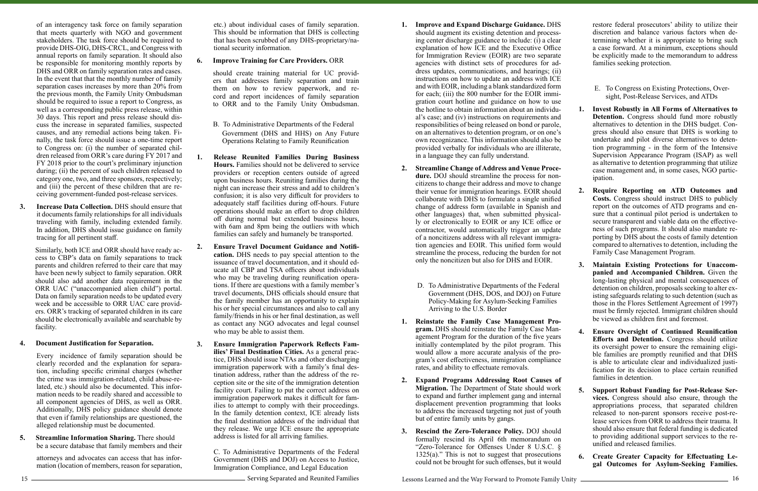of an interagency task force on family separation that meets quarterly with NGO and government stakeholders. The task force should be required to provide DHS-OIG, DHS-CRCL, and Congress with annual reports on family separation. It should also be responsible for monitoring monthly reports by DHS and ORR on family separation rates and cases. In the event that that the monthly number of family separation cases increases by more than 20% from the previous month, the Family Unity Ombudsman should be required to issue a report to Congress, as well as a corresponding public press release, within 30 days. This report and press release should discuss the increase in separated families, suspected causes, and any remedial actions being taken. Finally, the task force should issue a one-time report to Congress on: (i) the number of separated children released from ORR's care during FY 2017 and FY 2018 prior to the court's preliminary injunction during;  $(ii)$  the percent of such children released to category one, two, and three sponsors, respectively; and (iii) the percent of these children that are receiving government-funded post-release services.

**3. Increase Data Collection.** DHS should ensure that it documents family relationships for all individuals traveling with family, including extended family. In addition, DHS should issue guidance on family tracing for all pertinent staff.

Similarly, both ICE and ORR should have ready access to CBP's data on family separations to track parents and children referred to their care that may have been newly subject to family separation. ORR should also add another data requirement in the ORR UAC ("unaccompanied alien child") portal. Data on family separation needs to be updated every week and be accessible to ORR UAC care providers. ORR's tracking of separated children in its care should be electronically available and searchable by facility.

#### **4. Document Justification for Separation.**

Every incidence of family separation should be clearly recorded and the explanation for separation, including specific criminal charges (whether the crime was immigration-related, child abuse-related, etc.) should also be documented. This information needs to be readily shared and accessible to all component agencies of DHS, as well as ORR. Additionally, DHS policy guidance should denote that even if family relationships are questioned, the alleged relationship must be documented.

**5. Streamline Information Sharing.** There should be a secure database that family members and their

> attorneys and advocates can access that has information (location of members, reason for separation,

etc.) about individual cases of family separation. This should be information that DHS is collecting that has been scrubbed of any DHS-proprietary/national security information.

#### **6. Improve Training for Care Providers.** ORR

should create training material for UC providers that addresses family separation and train them on how to review paperwork, and record and report incidences of family separation to ORR and to the Family Unity Ombudsman.

- B. To Administrative Departments of the Federal Government (DHS and HHS) on Any Future Operations Relating to Family Reunification
- **1. Release Reunited Families During Business Hours.** Families should not be delivered to service providers or reception centers outside of agreed upon business hours. Reuniting families during the night can increase their stress and add to children's confusion; it is also very difficult for providers to adequately staff facilities during off-hours. Future operations should make an effort to drop children off during normal but extended business hours, with 6am and 8pm being the outliers with which families can safely and humanely be transported.
- **2. Ensure Travel Document Guidance and Notification.** DHS needs to pay special attention to the issuance of travel documentation, and it should educate all CBP and TSA officers about individuals who may be traveling during reunification operations. If there are questions with a family member's travel documents, DHS officials should ensure that the family member has an opportunity to explain his or her special circumstances and also to call any family/friends in his or her final destination, as well as contact any NGO advocates and legal counsel who may be able to assist them.
- **3. Ensure Immigration Paperwork Reflects Families' Final Destination Cities.** As a general practice, DHS should issue NTAs and other discharging immigration paperwork with a family's final destination address, rather than the address of the reception site or the site of the immigration detention facility court. Failing to put the correct address on immigration paperwork makes it difficult for families to attempt to comply with their proceedings. In the family detention context, ICE already lists the final destination address of the individual that they release. We urge ICE ensure the appropriate address is listed for all arriving families.

C. To Administrative Departments of the Federal Government (DHS and DOJ) on Access to Justice, Immigration Compliance, and Legal Education

15 Serving Separated and Reunited Families

Lessons Learned and the Way Forward to Promote Family Unity

- **1. Improve and Expand Discharge Guidance.** DHS should augment its existing detention and processing center discharge guidance to include: (i) a clear explanation of how ICE and the Executive Office for Immigration Review (EOIR) are two separate agencies with distinct sets of procedures for address updates, communications, and hearings; (ii) instructions on how to update an address with ICE and with EOIR, including a blank standardized form for each; (iii) the 800 number for the EOIR immigration court hotline and guidance on how to use the hotline to obtain information about an individual's case; and (iv) instructions on requirements and responsibilities of being released on bond or parole, on an alternatives to detention program, or on one's own recognizance. This information should also be provided verbally for individuals who are illiterate, in a language they can fully understand. **2. Streamline Change of Address and Venue Procedure.** DOJ should streamline the process for nonrestore federal prosecutors' ability to utilize their discretion and balance various factors when determining whether it is appropriate to bring such a case forward. At a minimum, exceptions should be explicitly made to the memorandum to address families seeking protection. E. To Congress on Existing Protections, Oversight, Post-Release Services, and ATDs **1. Invest Robustly in All Forms of Alternatives to Detention.** Congress should fund more robustly alternatives to detention in the DHS budget. Congress should also ensure that DHS is working to undertake and pilot diverse alternatives to detention programming - in the form of the Intensive Supervision Appearance Program (ISAP) as well as alternative to detention programming that utilize case management and, in some cases, NGO participation.
- citizens to change their address and move to change their venue for immigration hearings. EOIR should collaborate with DHS to formulate a single unified change of address form (available in Spanish and other languages) that, when submitted physically or electronically to EOIR or any ICE office or contractor, would automatically trigger an update of a noncitizens address with all relevant immigration agencies and EOIR. This unified form would streamline the process, reducing the burden for not only the noncitizen but also for DHS and EOIR. **2. Require Reporting on ATD Outcomes and Costs.** Congress should instruct DHS to publicly report on the outcomes of ATD programs and ensure that a continual pilot period is undertaken to secure transparent and viable data on the effectiveness of such programs. It should also mandate reporting by DHS about the costs of family detention compared to alternatives to detention, including the Family Case Management Program.
	- D. To Administrative Departments of the Federal Government (DHS, DOS, and DOJ) on Future Policy-Making for Asylum-Seeking Families Arriving to the U.S. Border
- **1. Reinstate the Family Case Management Program.** DHS should reinstate the Family Case Management Program for the duration of the five years initially contemplated by the pilot program. This would allow a more accurate analysis of the program's cost effectiveness, immigration compliance rates, and ability to effectuate removals. **4. Ensure Oversight of Continued Reunification Efforts and Detention.** Congress should utilize its oversight power to ensure the remaining eligible families are promptly reunified and that DHS is able to articulate clear and individualized justification for its decision to place certain reunified families in detention.
- **2. Expand Programs Addressing Root Causes of Migration.** The Department of State should work to expand and further implement gang and internal displacement prevention programming that looks to address the increased targeting not just of youth but of entire family units by gangs. **3. Rescind the Zero-Tolerance Policy.** DOJ should formally rescind its April 6th memorandum on **5. Support Robust Funding for Post-Release Services.** Congress should also ensure, through the appropriations process, that separated children released to non-parent sponsors receive post-release services from ORR to address their trauma. It should also ensure that federal funding is dedicated to providing additional support services to the reunified and released families.
- "Zero-Tolerance for Offenses Under 8 U.S.C. §  $1325(a)$ ." This is not to suggest that prosecutions could not be brought for such offenses, but it would

**3. Maintain Existing Protections for Unaccompanied and Accompanied Children.** Given the long-lasting physical and mental consequences of detention on children, proposals seeking to alter existing safeguards relating to such detention (such as those in the Flores Settlement Agreement of 1997) must be firmly rejected. Immigrant children should be viewed as children first and foremost.

**6. Create Greater Capacity for Effectuating Legal Outcomes for Asylum-Seeking Families.**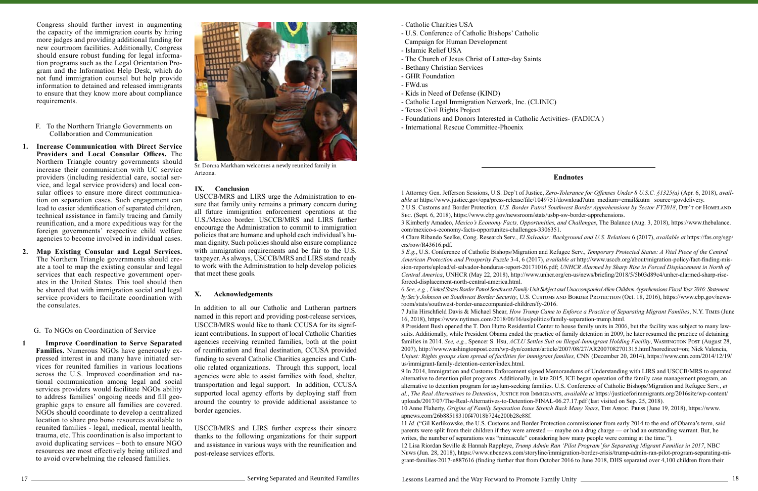Congress should further invest in augmenting the capacity of the immigration courts by hiring more judges and providing additional funding for new courtroom facilities. Additionally, Congress should ensure robust funding for legal information programs such as the Legal Orientation Program and the Information Help Desk, which do not fund immigration counsel but help provide information to detained and released immigrants to ensure that they know more about compliance requirements.

- F. To the Northern Triangle Governments on Collaboration and Communication
- **1. Increase Communication with Direct Service Providers and Local Consular Offices.** The Northern Triangle country governments should increase their communication with UC service providers (including residential care, social service, and legal service providers) and local consular offices to ensure more direct communication on separation cases. Such engagement can lead to easier identification of separated children, technical assistance in family tracing and family reunification, and a more expeditious way for the foreign governments' respective child welfare agencies to become involved in individual cases.
- **2. Map Existing Consular and Legal Services.** The Northern Triangle governments should create a tool to map the existing consular and legal services that each respective government operates in the United States. This tool should then be shared that with immigration social and legal service providers to facilitate coordination with the consulates.

G. To NGOs on Coordination of Service

**1 Improve Coordination to Serve Separated Families.** Numerous NGOs have generously expressed interest in and many have initiated services for reunited families in various locations across the U.S. Improved coordination and national communication among legal and social services providers would facilitate NGOs ability to address families' ongoing needs and fill geographic gaps to ensure all families are covered. NGOs should coordinate to develop a centralized location to share pro bono resources available to reunited families - legal, medical, mental health, trauma, etc. This coordination is also important to avoid duplicating services – both to ensure NGO resources are most effectively being utilized and to avoid overwhelming the released families.

#### **Endnotes**

1 Attorney Gen. Jefferson Sessions, U.S. Dep't of Justice, *Zero-Tolerance for Offenses Under 8 U.S.C. §1325(a)* (Apr. 6, 2018), *available at* https://www.justice.gov/opa/press-release/file/1049751/download?utm\_medium=email&utm\_ source=govdelivery. 2 U.S. Customs and Border Protection*, U.S. Border Patrol Southwest Border Apprehensions by Sector FY2018*, Dep't of Homeland Sec. (Sept. 6, 2018), https://www.cbp.gov/newsroom/stats/usbp-sw-border-apprehensions. 3 Kimberly Amadeo, *Mexico's Economy Facts, Opportunities, and Challenges*, The Balance (Aug. 3, 2018), https://www.thebalance. com/mexico-s-economy-facts-opportunites-challenges-3306351. 4 Clare Ribando Seelke, Cong. Research Serv., *El Salvador: Background and U.S. Relations* 6 (2017), *available at* https://fas.org/sgp/ crs/row/R43616.pdf.

5 *E.g.*, U.S. Conference of Catholic Bishops/Migration and Refugee Serv., *Temporary Protected Status: A Vital Piece of the Central American Protection and Prosperity Puzzle* 3-4, 6 (2017), *available at* http://www.usccb.org/about/migration-policy/fact-finding-mission-reports/upload/el-salvador-honduras-report-20171016.pdf; *UNHCR Alarmed by Sharp Rise in Forced Displacement in North of Central America*, UNHCR (May 22, 2018), http://www.unhcr.org/en-us/news/briefing/2018/5/5b03d89c4/unhcr-alarmed-sharp-riseforced-displacement-north-central-america.html.

6 *See, e.g.*, *United States Border Patrol Southwest Family Unit Subject and Unaccompanied Alien Children Apprehensions Fiscal Year 2016: Statement*  by Sec'y Johnson on Southwest Border Security, U.S. Customs AND BORDER PROTECTION (Oct. 18, 2016), https://www.cbp.gov/newsroom/stats/southwest-border-unaccompanied-children/fy-2016. 7 Julia Hirschfield Davis & Michael Shear, *How Trump Came to Enforce a Practice of Separating Migrant Families*, N.Y. Times (June 16, 2018), https://www.nytimes.com/2018/06/16/us/politics/family-separation-trump.html. 8 President Bush opened the T. Don Hutto Residential Center to house family units in 2006, but the facility was subject to many lawsuits. Additionally, while President Obama ended the practice of family detention in 2009, he later resumed the practice of detaining families in 2014. *See, e.g.*, Spencer S. Hsu, *ACLU Settles Suit on Illegal-Immigrant Holding Facility*, Washington Post (August 28, 2007), http://www.washingtonpost.com/wp-dyn/content/article/2007/08/27/AR2007082701315.html?noredirect=on; Nick Valencia, *Unjust: Rights groups slam spread of facilities for immigrant families,* CNN (December 20, 2014), https://www.cnn.com/2014/12/19/ us/immigrant-family-detention-center/index.html.

9 In 2014, Immigration and Customs Enforcement signed Memorandums of Understanding with LIRS and USCCB/MRS to operated alternative to detention pilot programs. Additionally, in late 2015, ICE began operation of the family case management program, an alternative to detention program for asylum-seeking families. U.S. Conference of Catholic Bishops/Migration and Refugee Serv., *et al.*, *The Real Alternatives to Detention*, Justice for Immigrants, *available at* https://justiceforimmigrants.org/2016site/wp-content/ uploads/2017/07/The-Real-Alternatives-to-Detention-FINAL-06.27.17.pdf (last visited on Sep. 25, 2018). 10 Anne Flaherty, *Origins of Family Separation Issue Stretch Back Many Years*, The Assoc. Press (June 19, 2018), https://www. apnews.com/26b88518310f47018b724e200b28e88f.

11 *Id.* ("Gil Kerlikowske, the U.S. Customs and Border Protection commissioner from early 2014 to the end of Obama's term, said parents were split from their children if they were arrested — maybe on a drug charge — or had an outstanding warrant. But, he writes, the number of separations was "minuscule" considering how many people were coming at the time."). 12 Lisa Riordan Seville & Hannah Rappleye, *Trump Admin Ran 'Pilot Program' for Separating Migrant Families in 2017*, NBC News (Jun. 28, 2018), [https://www.nbcnews.com/storyline/immigration-border-crisis/trump-admin-ran-pilot-program-separating-mi](https://www.nbcnews.com/storyline/immigration-border-crisis/trump-admin-ran-pilot-program-separating-migrant-families-2017-n887616)[grant-families-2017-n887616](https://www.nbcnews.com/storyline/immigration-border-crisis/trump-admin-ran-pilot-program-separating-migrant-families-2017-n887616) (finding further that from October 2016 to June 2018, DHS separated over 4,100 children from their



Sr. Donna Markham welcomes a newly reunited family in Arizona.

### **IX. Conclusion**

USCCB/MRS and LIRS urge the Administration to ensure that family unity remains a primary concern during all future immigration enforcement operations at the U.S./Mexico border. USCCB/MRS and LIRS further encourage the Administration to commit to immigration policies that are humane and uphold each individual's human dignity. Such policies should also ensure compliance with immigration requirements and be fair to the U.S. taxpayer. As always, USCCB/MRS and LIRS stand ready to work with the Administration to help develop policies that meet these goals.

#### **X. Acknowledgements**

In addition to all our Catholic and Lutheran partners named in this report and providing post-release services, USCCB/MRS would like to thank CCUSA for its significant contributions. In support of local Catholic Charities agencies receiving reunited families, both at the point of reunification and final destination, CCUSA provided funding to several Catholic Charities agencies and Catholic related organizations. Through this support, local agencies were able to assist families with food, shelter, transportation and legal support. In addition, CCUSA supported local agency efforts by deploying staff from around the country to provide additional assistance to border agencies.

USCCB/MRS and LIRS further express their sincere thanks to the following organizations for their support and assistance in various ways with the reunification and post-release services efforts.

- Catholic Charities USA
- U.S. Conference of Catholic Bishops' Catholic
- Campaign for Human Development
- Islamic Relief USA
- The Church of Jesus Christ of Latter-day Saints
- Bethany Christian Services
- GHR Foundation
- FWd.us
- Kids in Need of Defense (KIND)
- Catholic Legal Immigration Network, Inc. (CLINIC)
- Texas Civil Rights Project
- Foundations and Donors Interested in Catholic Activities- (FADICA )
- International Rescue Committee-Phoenix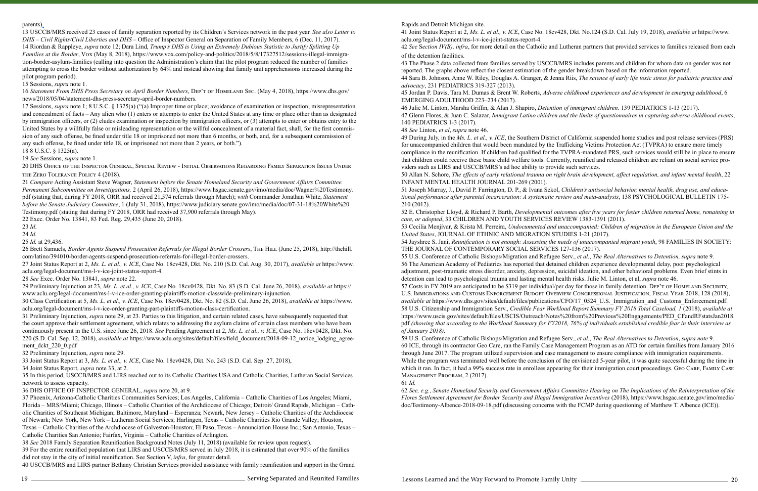#### parents).

13 USCCB/MRS received 23 cases of family separation reported by its Children's Services network in the past year. *See also Letter to DHS – Civil Rights/Civil Liberties and DHS* – Office of Inspector General on Separation of Family Members, 6 (Dec. 11, 2017). 14 Riordan & Rappleye, *supra* note 12; Dara Lind, *Trump's DHS is Using an Extremely Dubious Statistic to Justify Splitting Up Families at the Border*, Vox (May 8, 2018), https://www.vox.com/policy-and-politics/2018/5/8/17327512/sessions-illegal-immigration-border-asylum-families (calling into question the Administration's claim that the pilot program reduced the number of families attempting to cross the border without authorization by 64% and instead showing that family unit apprehensions increased during the pilot program period).

15 Sessions, *supra* note 1.

16 *Statement From DHS Press Secretary on April Border Numbers*, Dep't of Homeland Sec. (May 4, 2018), https://www.dhs.gov/ news/2018/05/04/statement-dhs-press-secretary-april-border-numbers.

17 Sessions, *supra* note 1; 8 U.S.C. § 1325(a) ("(a) Improper time or place; avoidance of examination or inspection; misrepresentation and concealment of facts – Any [alien](https://www.law.cornell.edu/definitions/uscode.php?width=840&height=800&iframe=true&def_id=8-USC-92903111-1485256781&term_occur=1686&term_src=title:8:chapter:12:subchapter:II:part:VIII:section:1325) who (1) enters or attempts to enter the [United States](https://www.law.cornell.edu/definitions/uscode.php?width=840&height=800&iframe=true&def_id=8-USC-2032517217-1201680101&term_occur=1278&term_src=title:8:chapter:12:subchapter:II:part:VIII:section:1325) at any time or place other than as designated by [immigration officers](https://www.law.cornell.edu/definitions/uscode.php?width=840&height=800&iframe=true&def_id=8-USC-717612480-1201680039&term_occur=71&term_src=title:8:chapter:12:subchapter:II:part:VIII:section:1325), or (2) eludes examination or inspection by [immigration officers](https://www.law.cornell.edu/definitions/uscode.php?width=840&height=800&iframe=true&def_id=8-USC-717612480-1201680039&term_occur=72&term_src=title:8:chapter:12:subchapter:II:part:VIII:section:1325), or (3) attempts to enter or obtains entry to the United States by a willfully false or misleading representation or the willful concealment of a material fact, shall, for the first commission of any such offense, be fined under title 18 or imprisoned not more than 6 months, or both, and, for a subsequent commission of any such offense, be fined under title 18, or imprisoned not more than 2 years, or both.").

31 Preliminary Injunction, *supra* note 29, at 23. Parties to this litigation, and certain related cases, have subsequently requested that the court approve their settlement agreement, which relates to addressing the asylum claims of certain class members who have been continuously present in the U.S. since June 26, 2018. *See* Pending Agreement at 2, *Ms. L. et al., v. ICE*, Case No. 18cv0428, Dkt. No. 220 (S.D. Cal. Sep. 12, 2018), *available at* https://www.aclu.org/sites/default/files/field\_document/2018-09-12\_notice\_lodging\_agreement\_dckt\_220\_0.pdf

18 8 U.S.C. § 1325(a).

19 *See* Sessions, *supra* note 1.

20 DHS Office of the Inspector General, Special Review - Initial Observations Regarding Family Separation Issues Under the Zero Tolerance Policy 4 (2018).

21 *Compare* Acting Assistant Steve Wagner, *Statement before the Senate Homeland Security and Government Affairs Committee. Permanent Subcommittee on Investigations,* 2 (April 26, 2018), [https://www.hsgac.senate.gov/imo/media/doc/Wagner%20Testimony.](https://www.hsgac.senate.gov/imo/media/doc/Wagner%20Testimony.pdf) [pdf](https://www.hsgac.senate.gov/imo/media/doc/Wagner%20Testimony.pdf) (stating that, during FY 2018, ORR had received 21,574 referrals through March); *with* Commander Jonathan White, *Statement before the Senate Judiciary Committee*, 1 (July 31, 2018), [https://www.judiciary.senate.gov/imo/media/doc/07-31-18%20White%20](https://www.judiciary.senate.gov/imo/media/doc/07-31-18%20White%20Testimony.pdf) [Testimony.pd](https://www.judiciary.senate.gov/imo/media/doc/07-31-18%20White%20Testimony.pdf)f (stating that during FY 2018, ORR had received 37,900 referrals through May).

22 Exec. Order No. 13841, 83 Fed. Reg. 29,435 (June 20, 2018).

23 *Id*.

24 *Id.*

25 *Id.* at 29,436.

26 Brett Samuels, *Border Agents Suspend Prosecution Referrals for Illegal Border Crossers*, The Hill (June 25, 2018), http://thehill. com/latino/394010-border-agents-suspend-prosecution-referrals-for-illegal-border-crossers.

27 Joint Status Report at 2, *Ms. L. et al., v. ICE*, Case No. 18cv428, Dkt. No. 210 (S.D. Cal. Aug. 30, 2017), *available at* https://www. aclu.org/legal-document/ms-l-v-ice-joint-status-report-4.

28 *See* Exec. Order No. 13841, *supra* note 22.

29 Preliminary Injunction at 23, *Ms. L. et al., v. ICE*, Case No. 18cv0428, Dkt. No. 83 (S.D. Cal. June 26, 2018), *available at* https:// www.aclu.org/legal-document/ms-l-v-ice-order-granting-plaintiffs-motion-classwide-preliminary-injunction.

30 Class Certification at 5, *Ms. L. et al., v. ICE*, Case No. 18cv0428, Dkt. No. 82 (S.D. Cal. June 26, 2018), *available at* https://www. aclu.org/legal-document/ms-l-v-ice-order-granting-part-plaintiffs-motion-class-certification.

32 Preliminary Injunction, *supra* note 29.

33 Joint Status Report at 3, *Ms. L. et al., v. ICE*, Case No. 18cv0428, Dkt. No. 243 (S.D. Cal. Sep. 27, 2018),

34 Joint Status Report, *supra* note 33, at 2.

35 In this period, USCCB/MRS and LIRS reached out to its Catholic Charities USA and Catholic Charities, Lutheran Social Services network to assess capacity.

36 DHS OFFICE OF INSPECTOR GENERAL, *supra* note 20, at 9.

37 Phoenix, Arizona-Catholic Charities Communities Services; Los Angeles, California – Catholic Charities of Los Angeles; Miami, Florida – MRS/Miami; Chicago, Illinois – Catholic Charities of the Archdiocese of Chicago; Detroit/ Grand Rapids, Michigan – Catholic Charities of Southeast Michigan; Baltimore, Maryland – Esperanza; Newark, New Jersey – Catholic Charities of the Archdiocese of Newark; New York, New York – Lutheran Social Services; Harlingen, Texas – Catholic Charities Rio Grande Valley; Houston, Texas – Catholic Charities of the Archdiocese of Galveston-Houston; El Paso, Texas – Annunciation House Inc.; San Antonio, Texas – Catholic Charities San Antonio; Fairfax, Virginia – Catholic Charities of Arlington.

38 *See* 2018 Family Separation Reunification Background Notes (July 11, 2018) (available for review upon request).

39 For the entire reunified population that LIRS and USCCB/MRS served in July 2018, it is estimated that over 90% of the families did not stay in the city of initial reunification. See Section V, *infra*, for greater detail.

40 USCCB/MRS and LIRS partner Bethany Christian Services provided assistance with family reunification and support in the Grand

19 **Serving Separated and Reunited Families** Serving Separated and Reunited Families

#### Rapids and Detroit Michigan site.

41 Joint Status Report at 2, *Ms. L. et al., v. ICE*, Case No. 18cv428, Dkt. No.124 (S.D. Cal. July 19, 2018), *available at* https://www. aclu.org/legal-document/ms-l-v-ice-joint-status-report-4. 42 *See* S*ection IV(B), infra*, for more detail on the Catholic and Lutheran partners that provided services to families released from each

of the detention facilities.

43 The Phase 2 data collected from families served by USCCB/MRS includes parents and children for whom data on gender was not reported. The graphs above reflect the closest estimation of the gender breakdown based on the information reported. 44 Sara B. Johnson, Anne W. Riley, Douglas A. Granger, & Jenna Riis, *The science of early life toxic stress for pediatric practice and advocacy*, 231 PEDIATRICS 319-327 (2013).

45 Jordan P. Davis, Tara M. Dumas & Brent W. Roberts, *Adverse childhood experiences and development in emerging adulthood*, 6 EMERGING ADULTHOOD 223–234 (2017).

46 Julie M. Linton, Marsha Griffin, & Alan J. Shapiro, *Detention of immigrant children*. 139 PEDIATRICS 1-13 (2017). 47 Glenn Flores, & Juan C. Salazar, *Immigrant Latino children and the limits of questionnaires in capturing adverse childhood events*, 140 PEDIATRICS 1-3 (2017).

48 *See* Linton, *et al*, *supra* note 46.

49 During July, in the *Ms. L. et al., v. ICE*, the Southern District of California suspended home studies and post release services (PRS) for unaccompanied children that would been mandated by the Trafficking Victims Protection Act (TVPRA) to ensure more timely compliance in the reunification. If children had qualified for the TVPRA-mandated PRS, such services would still be in place to ensure that children could receive these basic child welfare tools. Currently, reunified and released children are reliant on social service providers such as LIRS and USCCB/MRS's ad hoc ability to provide such services. 50 Allan N. Schore, *The effects of early relational trauma on right brain development, affect regulation, and infant mental health*, 22 INFANT MENTAL HEALTH JOURNAL 201-269 (2001).

51 Joseph Murray, J., David P. Farrington, D. P., & Ivana Sekol, *Children's antisocial behavior, mental health, drug use, and educational performance after parental incarceration: A systematic review and meta-analysis*, 138 PSYCHOLOGICAL BULLETIN 175- 210 (2012).

52 E. Christopher Lloyd, & Richard P. Barth, *Developmental outcomes after five years for foster children returned home, remaining in care, or adopted*, 33 CHILDREN AND YOUTH SERVICES REVIEW 1383-1391 (2011). 53 Cecilia Menjívar, & Krista M. Perreira, *Undocumented and unaccompanied: Children of migration in the European Union and the United States*, JOURNAL OF ETHNIC AND MIGRATION STUDIES 1-21 (2017). 54 Jayshree S. Jani, *Reunification is not enough: Assessing the needs of unaccompanied migrant youth*, 98 FAMILIES IN SOCIETY: THE JOURNAL OF CONTEMPORARY SOCIAL SERVICES 127-136 (2017). 55 U.S. Conference of Catholic Bishops/Migration and Refugee Serv., *et al.*, *The Real Alternatives to Detention, supra* note 9. 56 The American Academy of Pediatrics has reported that detained children experience developmental delay, poor psychological adjustment, post-traumatic stress disorder, anxiety, depression, suicidal ideation, and other behavioral problems. Even brief stints in detention can lead to psychological trauma and lasting mental health risks. Julie M. Linton, et al, *supra* note 46. 57 Costs in FY 2019 are anticipated to be \$319 per individual/per day for those in family detention. Dep't of Homeland Security, U.S. Immigrations and Customs Enforcement Budget Overview Congressional Justification, Fiscal Year 2018, 128 (2018), *available at* https://www.dhs.gov/sites/default/files/publications/CFO/17\_0524\_U.S. Immigration\_and\_Customs\_Enforcement.pdf. 58 U.S. Citizenship and Immigration Serv., *Credible Fear Workload Report Summary FY 2018 Total Caseload, 1* (2018), *available at* https://www.uscis.gov/sites/default/files/USCIS/Outreach/Notes%20from%20Previous%20Engagements/PED\_CFandRFstatsJan2018. pdf *(showing that according to the Workload Summary for FY2018, 76% of individuals established credible fear in their interview as of January 2018).*

59 U.S. Conference of Catholic Bishops/Migration and Refugee Serv., *et al.*, *The Real Alternatives to Detention*, *supra note* 9. 60 ICE, through its contractor Geo Care, ran the Family Case Management Program as an ATD for certain families from January 2016 through June 2017. The program utilized supervision and case management to ensure compliance with immigration requirements. While the program was terminated well before the conclusion of the envisioned 5-year pilot, it was quite successful during the time in which it ran. In fact, it had a 99% success rate in enrollees appearing for their immigration court proceedings. GEO CARE, FAMILY CASE Management Program, 2 (2017).

61 *Id.*

62 *See, e.g.*, *Senate Homeland Security and Government Affairs Committee Hearing on The Implications of the Reinterpretation of the Flores Settlement Agreement for Border Security and Illegal Immigration Incentives* (2018), https://www.hsgac.senate.gov/imo/media/ doc/Testimony-Albence-2018-09-18.pdf (discussing concerns with the FCMP during questioning of Matthew T. Albence (ICE)).